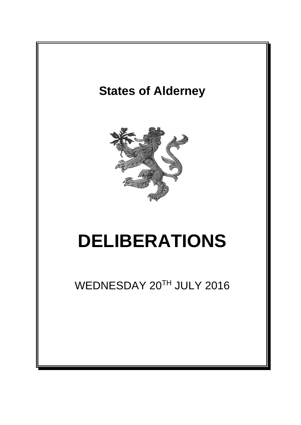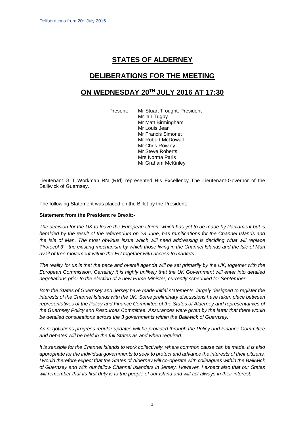# **STATES OF ALDERNEY**

# **DELIBERATIONS FOR THE MEETING**

# **ON WEDNESDAY 20 TH JULY 2016 AT 17:30**

Present: Mr Stuart Trought, President Mr Ian Tugby Mr Matt Birmingham Mr Louis Jean Mr Francis Simonet Mr Robert McDowall Mr Chris Rowley Mr Steve Roberts Mrs Norma Paris Mr Graham McKinley

Lieutenant G T Workman RN (Rtd) represented His Excellency The Lieutenant-Governor of the Bailiwick of Guernsey.

The following Statement was placed on the Billet by the President:-

## **Statement from the President re Brexit:-**

The decision for the UK to leave the European Union, which has yet to be made by Parliament but is *heralded by the result of the referendum on 23 June, has ramifications for the Channel Islands and the Isle of Man. The most obvious issue which will need addressing is deciding what will replace* 'Protocol 3' - the existing mechanism by which those living in the Channel Islands and the Isle of Man *avail of free movement within the EU together with access to markets.*

The reality for us is that the pace and overall agenda will be set primarily by the UK, together with the *European Commission. Certainly it is highly unlikely that the UK Government will enter into detailed negotiations prior to the election of a new Prime Minister, currently scheduled for September.*

*Both the States of Guernsey and Jersey have made initial statements, largely designed to register the interests of the Channel Islands with the UK. Some preliminary discussions have taken place between representatives of the Policy and Finance Committee of the States of Alderney and representatives of the Guernsey Policy and Resources Committee. Assurances were given by the latter that there would be detailed consultations across the 3 governments within the Bailiwick of Guernsey.*

*As negotiations progress regular updates will be provided through the Policy and Finance Committee and debates will be held in the full States as and when required.*

It is sensible for the Channel Islands to work collectively, where common cause can be made. It is also *appropriate for the individual governments to seek to protect and advance the interests of their citizens. I would therefore expect that the States of Alderney will co-operate with colleagues within the Bailiwick of Guernsey and with our fellow Channel Islanders in Jersey. However, I expect also that our States* will remember that its first duty is to the people of our island and will act always in their interest.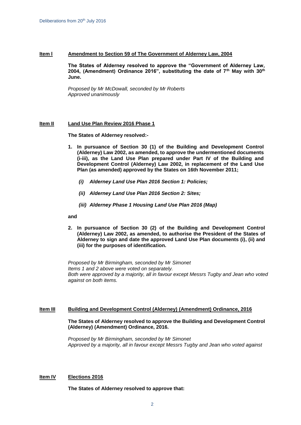### **Item l Amendment to Section 59 of The Government of Alderney Law, 2004**

**The States of Alderney resolved to approve the "Government of Alderney Law, 2004, (Amendment) Ordinance 2016", substituting the date of 7th May with 30th June.**

*Proposed by Mr McDowall, seconded by Mr Roberts Approved unanimously*

#### **Item II Land Use Plan Review 2016 Phase 1**

**The States of Alderney resolved:-**

- **1. In pursuance of Section 30 (1) of the Building and Development Control (Alderney) Law 2002, as amended, to approve the undermentioned documents (i-iii), as the Land Use Plan prepared under Part IV of the Building and Development Control (Alderney) Law 2002, in replacement of the Land Use Plan (as amended) approved by the States on 16th November 2011;**
	- *(i) Alderney Land Use Plan 2016 Section 1: Policies;*
	- *(ii) Alderney Land Use Plan 2016 Section 2: Sites;*
	- *(iii) Alderney Phase 1 Housing Land Use Plan 2016 (Map)*

#### **and**

**2. In pursuance of Section 30 (2) of the Building and Development Control (Alderney) Law 2002, as amended, to authorise the President of the States of Alderney to sign and date the approved Land Use Plan documents (i), (ii) and (iii) for the purposes of identification.** 

*Proposed by Mr Birmingham, seconded by Mr Simonet Items 1 and 2 above were voted on separately. Both were approved by a majority, all in favour except Messrs Tugby and Jean who voted against on both items.*

### **Item III Building and Development Control (Alderney) (Amendment) Ordinance, 2016**

## **The States of Alderney resolved to approve the Building and Development Control (Alderney) (Amendment) Ordinance, 2016.**

*Proposed by Mr Birmingham, seconded by Mr Simonet Approved by a majority, all in favour except Messrs Tugby and Jean who voted against*

## **Item IV Elections 2016**

**The States of Alderney resolved to approve that:**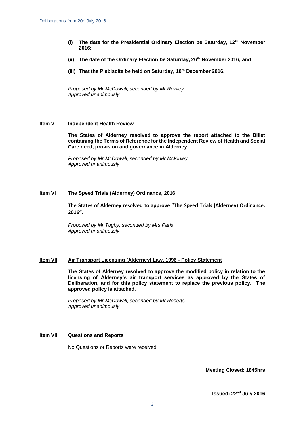- **(i) The date for the Presidential Ordinary Election be Saturday, 12th November 2016;**
- **(ii) The date of the Ordinary Election be Saturday, 26th November 2016; and**
- **(iii) That the Plebiscite be held on Saturday, 10th December 2016.**

*Proposed by Mr McDowall, seconded by Mr Rowley Approved unanimously*

### **Item V Independent Health Review**

**The States of Alderney resolved to approve the report attached to the Billet containing the Terms of Reference for the Independent Review of Health and Social Care need, provision and governance in Alderney.** 

*Proposed by Mr McDowall, seconded by Mr McKinley Approved unanimously*

### **Item VI The Speed Trials (Alderney) Ordinance, 2016**

**The States of Alderney resolved to approve "The Speed Trials (Alderney) Ordinance, 2016".**

*Proposed by Mr Tugby, seconded by Mrs Paris Approved unanimously*

## **Item VII Air Transport Licensing (Alderney) Law, 1996 - Policy Statement**

**The States of Alderney resolved to approve the modified policy in relation to the licensing of Alderney's air transport services as approved by the States of Deliberation, and for this policy statement to replace the previous policy. The approved policy is attached.**

*Proposed by Mr McDowall, seconded by Mr Roberts Approved unanimously*

## **Item VIII Questions and Reports**

No Questions or Reports were received

**Meeting Closed: 1845hrs**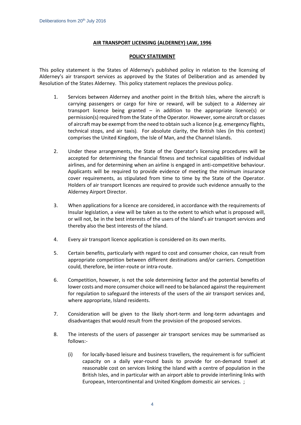# **AIR TRANSPORT LICENSING (ALDERNEY) LAW, 1996**

## **POLICY STATEMENT**

This policy statement is the States of Alderney's published policy in relation to the licensing of Alderney's air transport services as approved by the States of Deliberation and as amended by Resolution of the States Alderney. This policy statement replaces the previous policy.

- 1. Services between Alderney and another point in the British Isles, where the aircraft is carrying passengers or cargo for hire or reward, will be subject to a Alderney air transport licence being granted – in addition to the appropriate licence(s) or permission(s) required from the State of the Operator. However, some aircraft or classes of aircraft may be exempt from the need to obtain such a licence (e.g. emergency flights, technical stops, and air taxis)*.* For absolute clarity, the British Isles (in this context) comprises the United Kingdom, the Isle of Man, and the Channel Islands.
- 2. Under these arrangements, the State of the Operator's licensing procedures will be accepted for determining the financial fitness and technical capabilities of individual airlines, and for determining when an airline is engaged in anti-competitive behaviour. Applicants will be required to provide evidence of meeting the minimum insurance cover requirements, as stipulated from time to time by the State of the Operator. Holders of air transport licences are required to provide such evidence annually to the Alderney Airport Director.
- 3. When applications for a licence are considered, in accordance with the requirements of Insular legislation, a view will be taken as to the extent to which what is proposed will, or will not, be in the best interests of the users of the Island's air transport services and thereby also the best interests of the Island.
- 4. Every air transport licence application is considered on its own merits.
- 5. Certain benefits, particularly with regard to cost and consumer choice, can result from appropriate competition between different destinations and/or carriers. Competition could, therefore, be inter-route or intra-route.
- 6. Competition, however, is not the sole determining factor and the potential benefits of lower costs and more consumer choice will need to be balanced against the requirement for regulation to safeguard the interests of the users of the air transport services and, where appropriate, Island residents.
- 7. Consideration will be given to the likely short-term and long-term advantages and disadvantages that would result from the provision of the proposed services.
- 8. The interests of the users of passenger air transport services may be summarised as follows:-
	- (i) for locally-based leisure and business travellers, the requirement is for sufficient capacity on a daily year-round basis to provide for on-demand travel at reasonable cost on services linking the Island with a centre of population in the British Isles, and in particular with an airport able to provide interlining links with European, Intercontinental and United Kingdom domestic air services. ;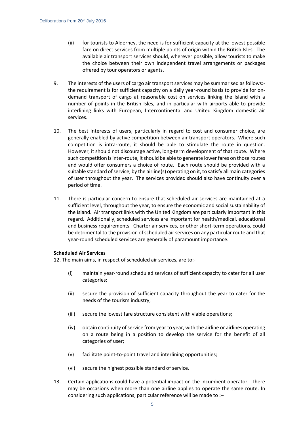- (ii) for tourists to Alderney, the need is for sufficient capacity at the lowest possible fare on direct services from multiple points of origin within the British Isles. The available air transport services should, wherever possible, allow tourists to make the choice between their own independent travel arrangements or packages offered by tour operators or agents.
- 9. The interests of the users of cargo air transport services may be summarised as follows: the requirement is for sufficient capacity on a daily year-round basis to provide for ondemand transport of cargo at reasonable cost on services linking the Island with a number of points in the British Isles, and in particular with airports able to provide interlining links with European, Intercontinental and United Kingdom domestic air services.
- 10. The best interests of users, particularly in regard to cost and consumer choice, are generally enabled by active competition between air transport operators. Where such competition is intra-route, it should be able to stimulate the route in question. However, it should not discourage active, long-term development of that route. Where such competition is inter-route, it should be able to generate lower fares on those routes and would offer consumers a choice of route. Each route should be provided with a suitable standard of service, by the airline(s) operating on it, to satisfy all main categories of user throughout the year. The services provided should also have continuity over a period of time.
- 11. There is particular concern to ensure that scheduled air services are maintained at a sufficient level, throughout the year, to ensure the economic and social sustainability of the Island. Air transport links with the United Kingdom are particularly important in this regard. Additionally, scheduled services are important for health/medical, educational and business requirements. Charter air services, or other short-term operations, could be detrimental to the provision of scheduled air services on any particular route and that year-round scheduled services are generally of paramount importance.

# **Scheduled Air Services**

12. The main aims, in respect of scheduled air services, are to:-

- (i) maintain year-round scheduled services of sufficient capacity to cater for all user categories;
- (ii) secure the provision of sufficient capacity throughout the year to cater for the needs of the tourism industry;
- (iii) secure the lowest fare structure consistent with viable operations;
- (iv) obtain continuity of service from year to year, with the airline or airlines operating on a route being in a position to develop the service for the benefit of all categories of user;
- (v) facilitate point-to-point travel and interlining opportunities;
- (vi) secure the highest possible standard of service.
- 13. Certain applications could have a potential impact on the incumbent operator. There may be occasions when more than one airline applies to operate the same route. In considering such applications, particular reference will be made to :–